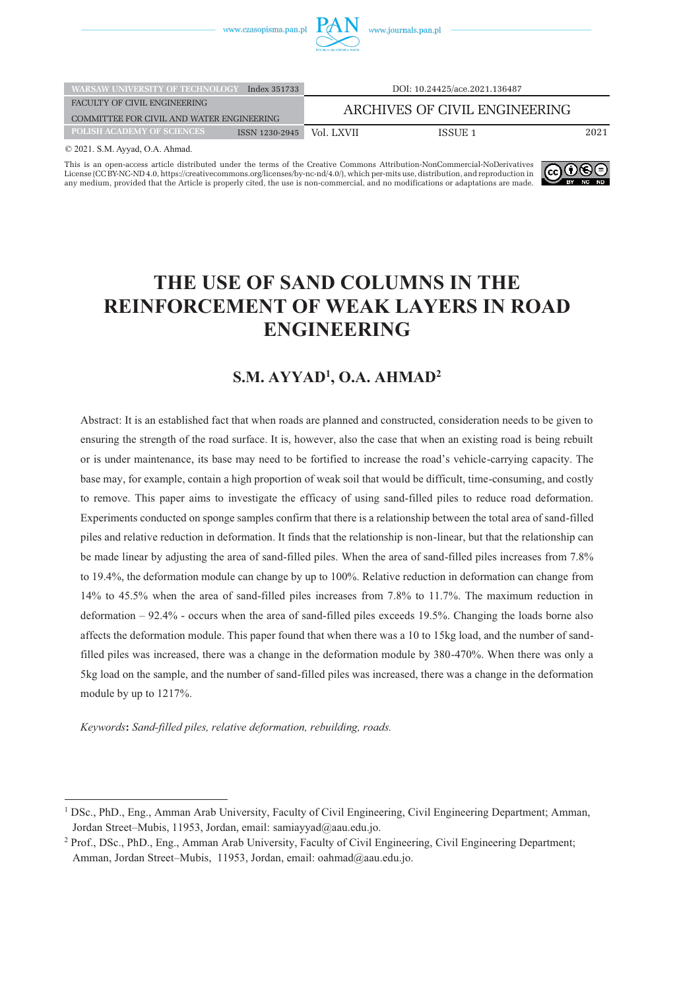

| <b>WARSAW UNIVERSITY OF TECHNOLOGY</b>                                    | Index 351733   |            | DOI: 10.24425/ace.2021.136487 |      |
|---------------------------------------------------------------------------|----------------|------------|-------------------------------|------|
| FACULTY OF CIVIL ENGINEERING<br>COMMITTEE FOR CIVIL AND WATER ENGINEERING |                |            | ARCHIVES OF CIVIL ENGINEERING |      |
| POLISH ACADEMY OF SCIENCES                                                | ISSN 1230-2945 | Vol. LXVII | ISSUE 1                       | 2021 |

© 2021. S.M. Ayyad, O.A. Ahmad.

This is an open-access article distributed under the terms of the Creative Commons Attribution-NonCommercial-NoDerivatives [License \(CC BY-NC-ND 4.0, https://creativecommons.org/licenses/by-nc-nd/4.0/\), which per-mits use, distribution, and reproduction in](https://creativecommons.org/licenses/by-nc-nd/4.0/)  any medium, provided that the Article is properly cited, the use is non-commercial, and no modifications or adaptations are made.



# **THE USE OF SAND COLUMNS IN THE REINFORCEMENT OF WEAK LAYERS IN ROAD ENGINEERING**

# **S.M. AYYAD1 , O.A. AHMAD2**

Abstract: It is an established fact that when roads are planned and constructed, consideration needs to be given to ensuring the strength of the road surface. It is, however, also the case that when an existing road is being rebuilt or is under maintenance, its base may need to be fortified to increase the road's vehicle-carrying capacity. The base may, for example, contain a high proportion of weak soil that would be difficult, time-consuming, and costly to remove. This paper aims to investigate the efficacy of using sand-filled piles to reduce road deformation. Experiments conducted on sponge samples confirm that there is a relationship between the total area of sand-filled piles and relative reduction in deformation. It finds that the relationship is non-linear, but that the relationship can be made linear by adjusting the area of sand-filled piles. When the area of sand-filled piles increases from 7.8% to 19.4%, the deformation module can change by up to 100%. Relative reduction in deformation can change from 14% to 45.5% when the area of sand-filled piles increases from 7.8% to 11.7%. The maximum reduction in deformation – 92.4% - occurs when the area of sand-filled piles exceeds 19.5%. Changing the loads borne also affects the deformation module. This paper found that when there was a 10 to 15kg load, and the number of sandfilled piles was increased, there was a change in the deformation module by 380-470%. When there was only a 5kg load on the sample, and the number of sand-filled piles was increased, there was a change in the deformation module by up to 1217%.

*Keywords***:** *Sand-filled piles, relative deformation, rebuilding, roads.*

<sup>1</sup> DSc., PhD., Eng., Amman Arab University, Faculty of Civil Engineering, Civil Engineering Department; Amman, Jordan Street–Mubis, 11953, Jordan, email: samiayyad@aau.edu.jo.

<sup>2</sup> Prof., DSc., PhD., Eng., Amman Arab University, Faculty of Civil Engineering, Civil Engineering Department; Amman, Jordan Street–Mubis, 11953, Jordan, email: oahmad@aau.edu.jo.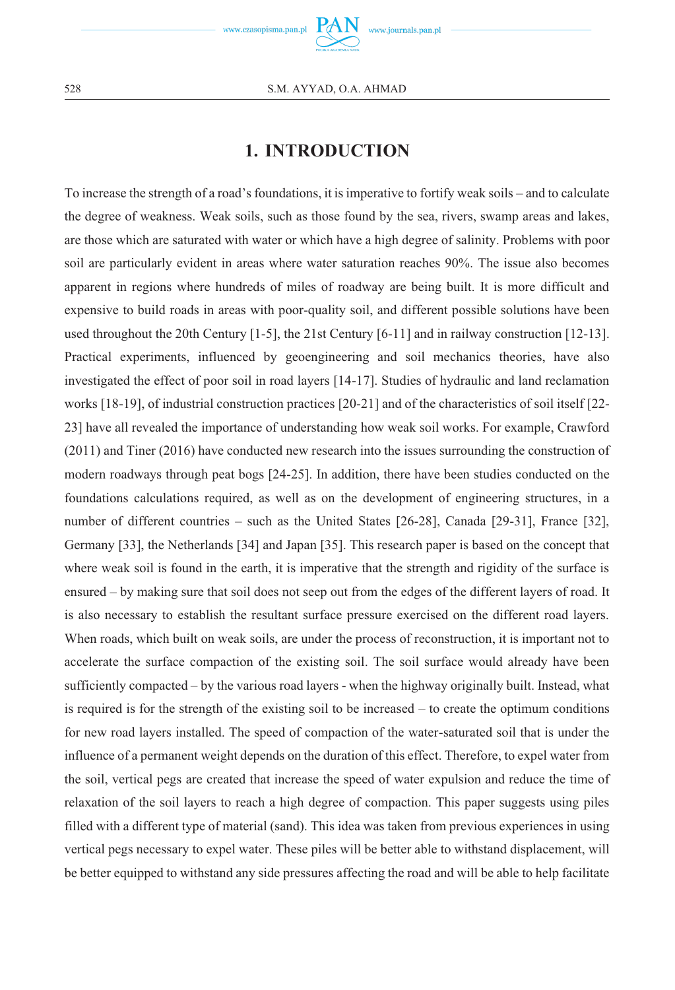

# **1. INTRODUCTION**

To increase the strength of a road's foundations, it is imperative to fortify weak soils – and to calculate the degree of weakness. Weak soils, such as those found by the sea, rivers, swamp areas and lakes, are those which are saturated with water or which have a high degree of salinity. Problems with poor soil are particularly evident in areas where water saturation reaches 90%. The issue also becomes apparent in regions where hundreds of miles of roadway are being built. It is more difficult and expensive to build roads in areas with poor-quality soil, and different possible solutions have been used throughout the 20th Century [1-5], the 21st Century [6-11] and in railway construction [12-13]. Practical experiments, influenced by geoengineering and soil mechanics theories, have also investigated the effect of poor soil in road layers [14-17]. Studies of hydraulic and land reclamation works [18-19], of industrial construction practices [20-21] and of the characteristics of soil itself [22- 23] have all revealed the importance of understanding how weak soil works. For example, Crawford (2011) and Tiner (2016) have conducted new research into the issues surrounding the construction of modern roadways through peat bogs [24-25]. In addition, there have been studies conducted on the foundations calculations required, as well as on the development of engineering structures, in a number of different countries – such as the United States [26-28], Canada [29-31], France [32], Germany [33], the Netherlands [34] and Japan [35]. This research paper is based on the concept that where weak soil is found in the earth, it is imperative that the strength and rigidity of the surface is ensured – by making sure that soil does not seep out from the edges of the different layers of road. It is also necessary to establish the resultant surface pressure exercised on the different road layers. When roads, which built on weak soils, are under the process of reconstruction, it is important not to accelerate the surface compaction of the existing soil. The soil surface would already have been sufficiently compacted – by the various road layers - when the highway originally built. Instead, what is required is for the strength of the existing soil to be increased – to create the optimum conditions for new road layers installed. The speed of compaction of the water-saturated soil that is under the influence of a permanent weight depends on the duration of this effect. Therefore, to expel water from the soil, vertical pegs are created that increase the speed of water expulsion and reduce the time of relaxation of the soil layers to reach a high degree of compaction. This paper suggests using piles filled with a different type of material (sand). This idea was taken from previous experiences in using vertical pegs necessary to expel water. These piles will be better able to withstand displacement, will be better equipped to withstand any side pressures affecting the road and will be able to help facilitate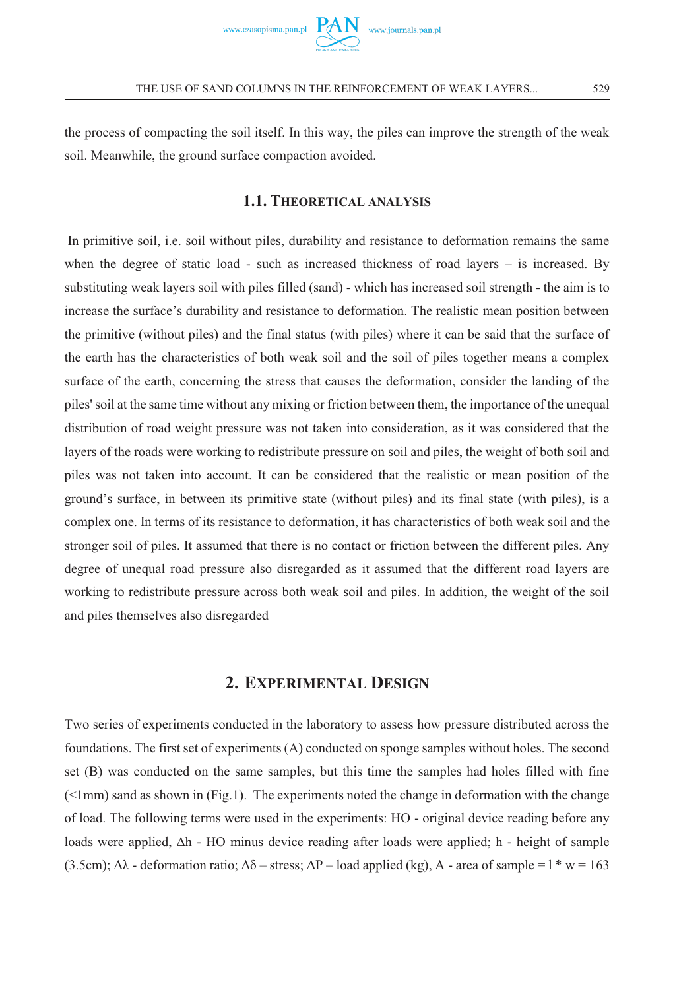

the process of compacting the soil itself. In this way, the piles can improve the strength of the weak soil. Meanwhile, the ground surface compaction avoided.

### **1.1. THEORETICAL ANALYSIS**

In primitive soil, i.e. soil without piles, durability and resistance to deformation remains the same when the degree of static load - such as increased thickness of road layers  $-$  is increased. By substituting weak layers soil with piles filled (sand) - which has increased soil strength - the aim is to increase the surface's durability and resistance to deformation. The realistic mean position between the primitive (without piles) and the final status (with piles) where it can be said that the surface of the earth has the characteristics of both weak soil and the soil of piles together means a complex surface of the earth, concerning the stress that causes the deformation, consider the landing of the piles' soil at the same time without any mixing or friction between them, the importance of the unequal distribution of road weight pressure was not taken into consideration, as it was considered that the layers of the roads were working to redistribute pressure on soil and piles, the weight of both soil and piles was not taken into account. It can be considered that the realistic or mean position of the ground's surface, in between its primitive state (without piles) and its final state (with piles), is a complex one. In terms of its resistance to deformation, it has characteristics of both weak soil and the stronger soil of piles. It assumed that there is no contact or friction between the different piles. Any degree of unequal road pressure also disregarded as it assumed that the different road layers are working to redistribute pressure across both weak soil and piles. In addition, the weight of the soil and piles themselves also disregarded

### **2. EXPERIMENTAL DESIGN**

Two series of experiments conducted in the laboratory to assess how pressure distributed across the foundations. The first set of experiments (A) conducted on sponge samples without holes. The second set (B) was conducted on the same samples, but this time the samples had holes filled with fine  $(\leq 1$ mm) sand as shown in (Fig.1). The experiments noted the change in deformation with the change of load. The following terms were used in the experiments: HO - original device reading before any loads were applied, Δh - HO minus device reading after loads were applied; h - height of sample (3.5cm);  $\Delta\lambda$  - deformation ratio;  $\Delta\delta$  – stress;  $\Delta P$  – load applied (kg), A - area of sample = 1  $^*$  w = 163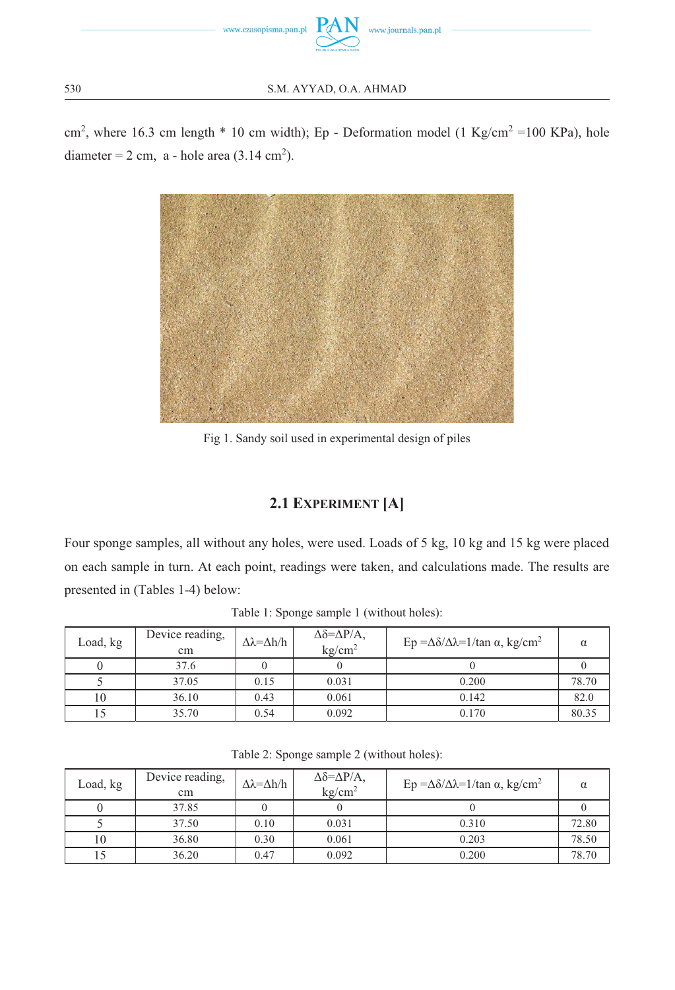

30 S.M. AYYAD, O.A. AHMAD

 $\text{cm}^2$ , where 16.3 cm length \* 10 cm width); Ep - Deformation model (1 Kg/cm<sup>2</sup> = 100 KPa), hole diameter =  $2 \text{ cm}$ , a - hole area (3.14 cm<sup>2</sup>).



Fig 1. Sandy soil used in experimental design of piles

## **2.1 EXPERIMENT [A]**

Four sponge samples, all without any holes, were used. Loads of 5 kg, 10 kg and 15 kg were placed on each sample in turn. At each point, readings were taken, and calculations made. The results are presented in (Tables 1-4) below:

| Load, kg | Device reading,<br>cm | $\Delta \lambda = \Delta h / h$ | $\Delta \delta = \Delta P/A$ ,<br>kg/cm <sup>2</sup> | Ep =Δδ/Δλ=1/tan α, kg/cm <sup>2</sup> | α     |
|----------|-----------------------|---------------------------------|------------------------------------------------------|---------------------------------------|-------|
|          | 37.6                  |                                 |                                                      |                                       |       |
|          | 37.05                 | 0.15                            | 0.031                                                | 0.200                                 | 78.70 |
| 10       | 36.10                 | 0.43                            | 0.061                                                | 0.142                                 | 82.0  |
|          | 35.70                 | 0.54                            | 0.092                                                | 0.170                                 | 80.35 |

Table 1: Sponge sample 1 (without holes):

| Load, kg | Device reading,<br>cm | $\Delta\lambda = \Delta h/h$ | $\Delta \delta = \Delta P/A$ ,<br>kg/cm <sup>2</sup> | Ep =Δδ/Δλ=1/tan α, kg/cm <sup>2</sup> | $\alpha$ |
|----------|-----------------------|------------------------------|------------------------------------------------------|---------------------------------------|----------|
|          | 37.85                 |                              |                                                      |                                       |          |
|          | 37.50                 | 0.10                         | 0.031                                                | 0.310                                 | 72.80    |
| 10       | 36.80                 | 0.30                         | 0.061                                                | 0.203                                 | 78.50    |
|          | 36.20                 | 0.47                         | 0.092                                                | 0.200                                 | 78.70    |

Table 2: Sponge sample 2 (without holes):

530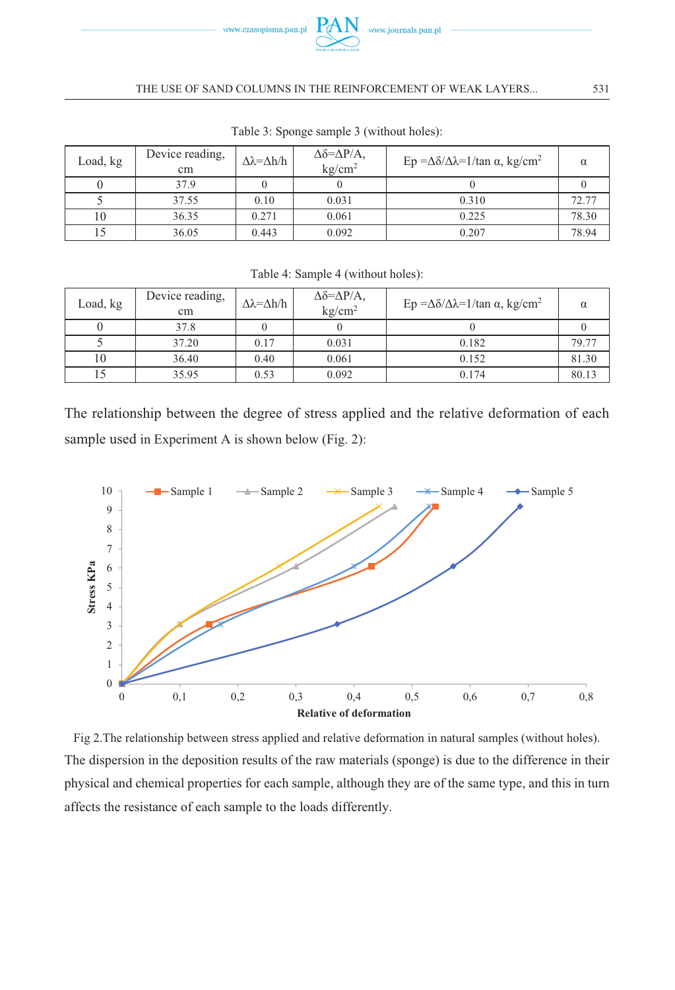

#### THE USE OF SAND COLUMNS IN THE REINFORCEMENT OF WEAK LAYERS... 5

| Load, kg | Device reading,<br>cm | $\Delta\lambda = \Delta h/h$ | $\Delta \delta = \Delta P/A$ ,<br>kg/cm <sup>2</sup> | Ep =Δδ/Δλ=1/tan α, kg/cm <sup>2</sup> |       |
|----------|-----------------------|------------------------------|------------------------------------------------------|---------------------------------------|-------|
|          | 37.9                  |                              |                                                      |                                       |       |
|          | 37.55                 | 0.10                         | 0.031                                                | 0.310                                 | 72.77 |
| 10       | 36.35                 | 0.271                        | 0.061                                                | 0.225                                 | 78.30 |
|          | 36.05                 | 0.443                        | 0.092                                                | 0.207                                 | 78.94 |

Table 3: Sponge sample 3 (without holes):

| Table 4: Sample 4 (without holes): |
|------------------------------------|
|------------------------------------|

| Load, kg | Device reading,<br>cm | $\Delta\lambda = \Delta h/h$ | $\Delta \delta = \Delta P/A$ ,<br>kg/cm <sup>2</sup> | Ep =Δδ/Δλ=1/tan α, kg/cm <sup>2</sup> | α     |
|----------|-----------------------|------------------------------|------------------------------------------------------|---------------------------------------|-------|
|          | 37.8                  |                              |                                                      |                                       |       |
|          | 37.20                 | 0.17                         | 0.031                                                | 0.182                                 | 79.77 |
| 10       | 36.40                 | 0.40                         | 0.061                                                | 0.152                                 | 81.30 |
|          | 35.95                 | 0.53                         | 0.092                                                | 0.174                                 | 80.13 |

The relationship between the degree of stress applied and the relative deformation of each sample used in Experiment A is shown below (Fig. 2):



Fig 2.The relationship between stress applied and relative deformation in natural samples (without holes). The dispersion in the deposition results of the raw materials (sponge) is due to the difference in their physical and chemical properties for each sample, although they are of the same type, and this in turn affects the resistance of each sample to the loads differently.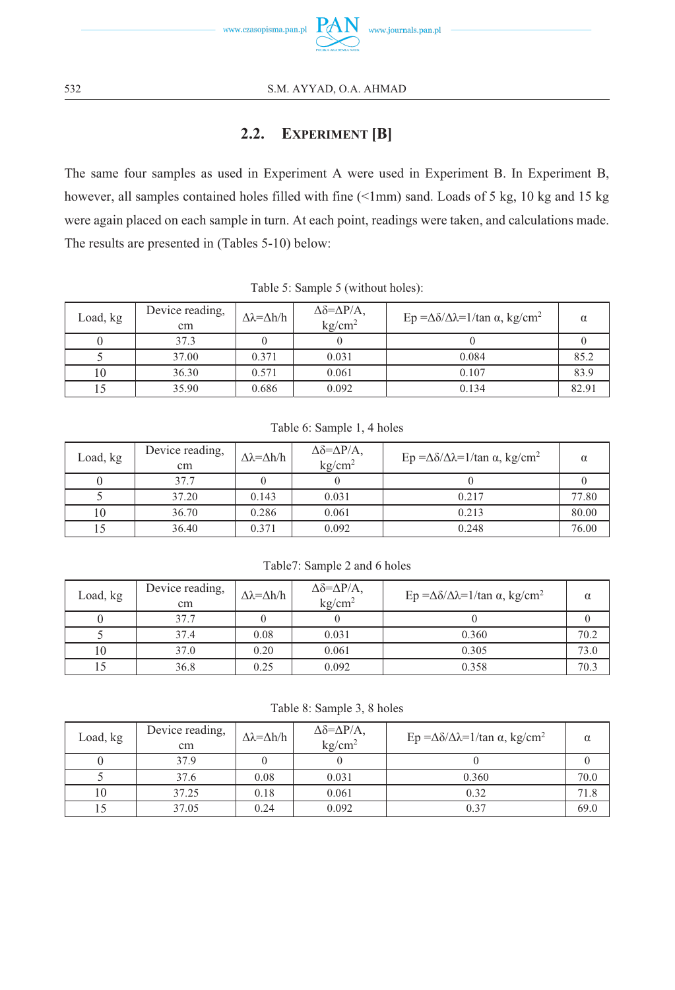

# **2.2. EXPERIMENT [B]**

The same four samples as used in Experiment A were used in Experiment B. In Experiment B, however, all samples contained holes filled with fine (<1mm) sand. Loads of 5 kg, 10 kg and 15 kg were again placed on each sample in turn. At each point, readings were taken, and calculations made. The results are presented in (Tables 5-10) below:

| Load, kg | Device reading,<br>cm | $\Delta\lambda = \Delta h/h$ | $\Delta \delta = \Delta P/A$ ,<br>$k\text{g/cm}^2$ | Ep =Δδ/Δλ=1/tan α, kg/cm <sup>2</sup> |       |
|----------|-----------------------|------------------------------|----------------------------------------------------|---------------------------------------|-------|
|          | 37.3                  |                              |                                                    |                                       |       |
|          | 37.00                 | 0.371                        | 0.031                                              | 0.084                                 | 85.2  |
| 10       | 36.30                 | 0.571                        | 0.061                                              | 0.107                                 | 83.9  |
|          | 35.90                 | 0.686                        | 0.092                                              | 0.134                                 | 82.91 |

Table 5: Sample 5 (without holes):

|  |  | Table 6: Sample 1, 4 holes |  |  |  |  |
|--|--|----------------------------|--|--|--|--|
|--|--|----------------------------|--|--|--|--|

| Load, kg | Device reading,<br>cm | $\Delta \lambda = \Delta h / h$ | $\Delta \delta = \Delta P/A$ ,<br>kg/cm <sup>2</sup> | Ep =Δδ/Δλ=1/tan α, kg/cm <sup>2</sup> |       |
|----------|-----------------------|---------------------------------|------------------------------------------------------|---------------------------------------|-------|
|          | 37.7                  |                                 |                                                      |                                       |       |
|          | 37.20                 | 0.143                           | 0.031                                                | 0.217                                 | 77.80 |
| 10       | 36.70                 | 0.286                           | 0.061                                                | 0.213                                 | 80.00 |
|          | 36.40                 | 0.371                           | 0.092                                                | 0.248                                 | 76.00 |

Table7: Sample 2 and 6 holes

| Load, kg | Device reading,<br>cm | $\Delta\lambda = \Delta h/h$ | $\Delta \delta = \Delta P/A$ ,<br>kg/cm <sup>2</sup> | Ep =Δδ/Δλ=1/tan α, kg/cm <sup>2</sup> | α    |
|----------|-----------------------|------------------------------|------------------------------------------------------|---------------------------------------|------|
|          | 37.7                  |                              |                                                      |                                       |      |
|          | 37.4                  | 0.08                         | 0.031                                                | 0.360                                 | 70.2 |
| 10       | 37.0                  | 0.20                         | 0.061                                                | 0.305                                 | 73.0 |
|          | 36.8                  | 0.25                         | 0.092                                                | 0.358                                 | 70.3 |

Table 8: Sample 3, 8 holes

| Load, kg | Device reading,<br>cm | $\Delta\lambda = \Delta h/h$ | $\Delta \delta = \Delta P/A$ ,<br>kg/cm <sup>2</sup> | Ep =Δδ/Δλ=1/tan α, kg/cm <sup>2</sup> | $\alpha$ |
|----------|-----------------------|------------------------------|------------------------------------------------------|---------------------------------------|----------|
|          | 37.9                  |                              |                                                      |                                       |          |
|          | 37.6                  | 0.08                         | 0.031                                                | 0.360                                 | 70.0     |
| 10       | 37.25                 | 0.18                         | 0.061                                                | 0.32                                  | 71.8     |
|          | 37.05                 | 0.24                         | 0.092                                                | 0.37                                  | 69.0     |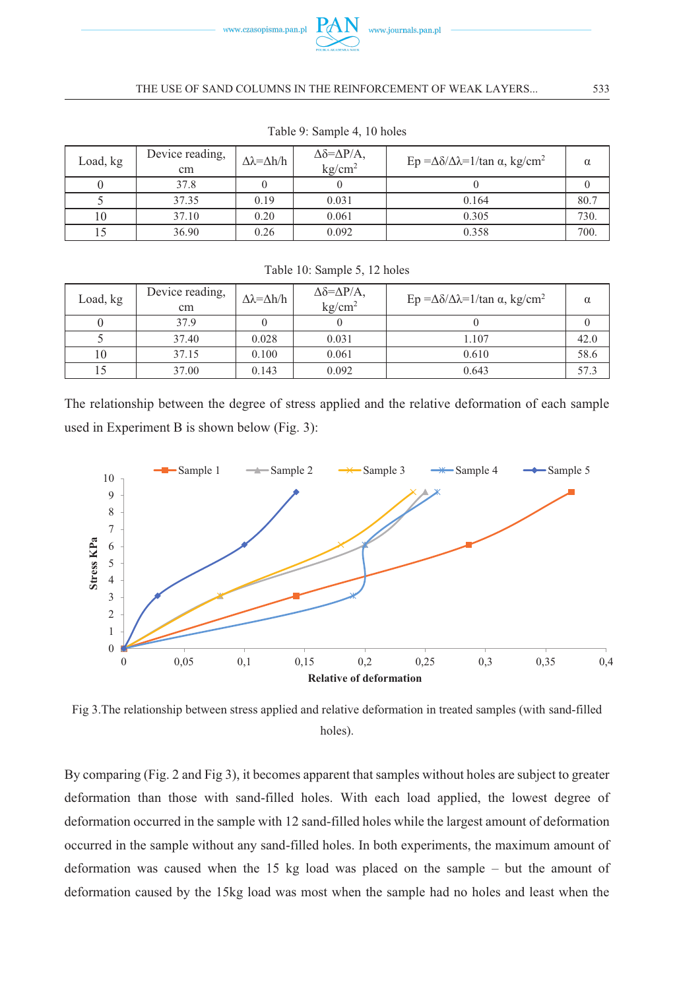

#### THE USE OF SAND COLUMNS IN THE REINFORCEMENT OF WEAK LAYERS... 5

| Load, kg | Device reading,<br>cm | $\Delta\lambda = \Delta h/h$ | $\Delta \delta = \Delta P/A$ ,<br>$k\text{g/cm}^2$ | Ep =Δδ/Δλ=1/tan α, kg/cm <sup>2</sup> | $\alpha$ |
|----------|-----------------------|------------------------------|----------------------------------------------------|---------------------------------------|----------|
|          | 37.8                  |                              |                                                    |                                       |          |
|          | 37.35                 | 0.19                         | 0.031                                              | 0.164                                 | 80.7     |
|          | 37.10                 | 0.20                         | 0.061                                              | 0.305                                 | 730.     |
|          | 36.90                 | 0.26                         | 0.092                                              | 0.358                                 | 700.     |

Table 9: Sample 4, 10 holes

|          | Device reading, |                              | $\Delta \delta = \Delta P/A$ , |                                       |          |
|----------|-----------------|------------------------------|--------------------------------|---------------------------------------|----------|
| Load, kg | cm              | $\Delta\lambda = \Delta h/h$ | kg/cm <sup>2</sup>             | Ep =Δδ/Δλ=1/tan α, kg/cm <sup>2</sup> | $\alpha$ |
|          | 37.9            |                              |                                |                                       |          |
|          | 37.40           | 0.028                        | 0.031                          | 1.107                                 | 42.0     |
| 10       | 37.15           | 0.100                        | 0.061                          | 0.610                                 | 58.6     |
|          | 37.00           | 0.143                        | 0.092                          | 0.643                                 | 57.3     |

Table 10: Sample 5, 12 holes

The relationship between the degree of stress applied and the relative deformation of each sample used in Experiment B is shown below (Fig. 3):



Fig 3.The relationship between stress applied and relative deformation in treated samples (with sand-filled holes).

By comparing (Fig. 2 and Fig 3), it becomes apparent that samples without holes are subject to greater deformation than those with sand-filled holes. With each load applied, the lowest degree of deformation occurred in the sample with 12 sand-filled holes while the largest amount of deformation occurred in the sample without any sand-filled holes. In both experiments, the maximum amount of deformation was caused when the 15 kg load was placed on the sample – but the amount of deformation caused by the 15kg load was most when the sample had no holes and least when the

533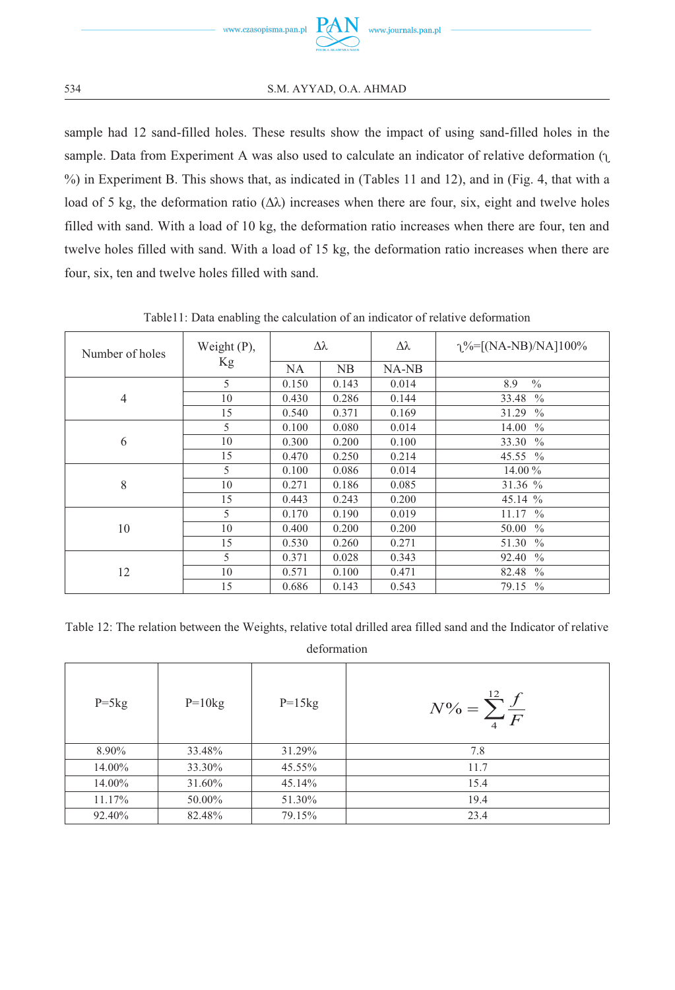

sample had 12 sand-filled holes. These results show the impact of using sand-filled holes in the sample. Data from Experiment A was also used to calculate an indicator of relative deformation  $($ <sub>L</sub> %) in Experiment B. This shows that, as indicated in (Tables 11 and 12), and in (Fig. 4, that with a load of 5 kg, the deformation ratio  $(Δλ)$  increases when there are four, six, eight and twelve holes filled with sand. With a load of 10 kg, the deformation ratio increases when there are four, ten and twelve holes filled with sand. With a load of 15 kg, the deformation ratio increases when there are four, six, ten and twelve holes filled with sand.

| Number of holes | Weight $(P)$ , | Δλ        |       | Δλ    | $\gamma\%=[(NA-NB)/NA]100\%$ |
|-----------------|----------------|-----------|-------|-------|------------------------------|
|                 | Kg             | <b>NA</b> | NB    | NA-NB |                              |
|                 | 5              | 0.150     | 0.143 | 0.014 | $\frac{0}{0}$<br>8.9         |
| 4               | 10             | 0.430     | 0.286 | 0.144 | 33.48<br>$\frac{0}{0}$       |
|                 | 15             | 0.540     | 0.371 | 0.169 | 31.29<br>$\frac{0}{0}$       |
|                 | 5              | 0.100     | 0.080 | 0.014 | 14.00<br>$\frac{0}{0}$       |
| 6               | 10             | 0.300     | 0.200 | 0.100 | 33.30<br>$\frac{0}{0}$       |
|                 | 15             | 0.470     | 0.250 | 0.214 | 45.55 %                      |
|                 | 5              | 0.100     | 0.086 | 0.014 | 14.00 %                      |
| 8               | 10             | 0.271     | 0.186 | 0.085 | 31.36 %                      |
|                 | 15             | 0.443     | 0.243 | 0.200 | 45.14 %                      |
|                 | 5              | 0.170     | 0.190 | 0.019 | 11.17%                       |
| 10              | 10             | 0.400     | 0.200 | 0.200 | 50.00<br>$\frac{0}{0}$       |
|                 | 15             | 0.530     | 0.260 | 0.271 | 51.30<br>$\frac{0}{0}$       |
|                 | 5              | 0.371     | 0.028 | 0.343 | 92.40<br>$\frac{0}{0}$       |
| 12              | 10             | 0.571     | 0.100 | 0.471 | 82.48<br>$\frac{0}{0}$       |
|                 | 15             | 0.686     | 0.143 | 0.543 | 79.15<br>$\frac{0}{0}$       |

Table11: Data enabling the calculation of an indicator of relative deformation

Table 12: The relation between the Weights, relative total drilled area filled sand and the Indicator of relative

deformation

| $P=5kg$ | $P=10kg$ | $P=15kg$ | $N\% = \sum_{4}^{12} \frac{f}{F}$ |
|---------|----------|----------|-----------------------------------|
| 8.90%   | 33.48%   | 31.29%   | 7.8                               |
| 14.00%  | 33.30%   | 45.55%   | 11.7                              |
| 14.00%  | 31.60%   | 45.14%   | 15.4                              |
| 11.17%  | 50.00%   | 51.30%   | 19.4                              |
| 92.40%  | 82.48%   | 79.15%   | 23.4                              |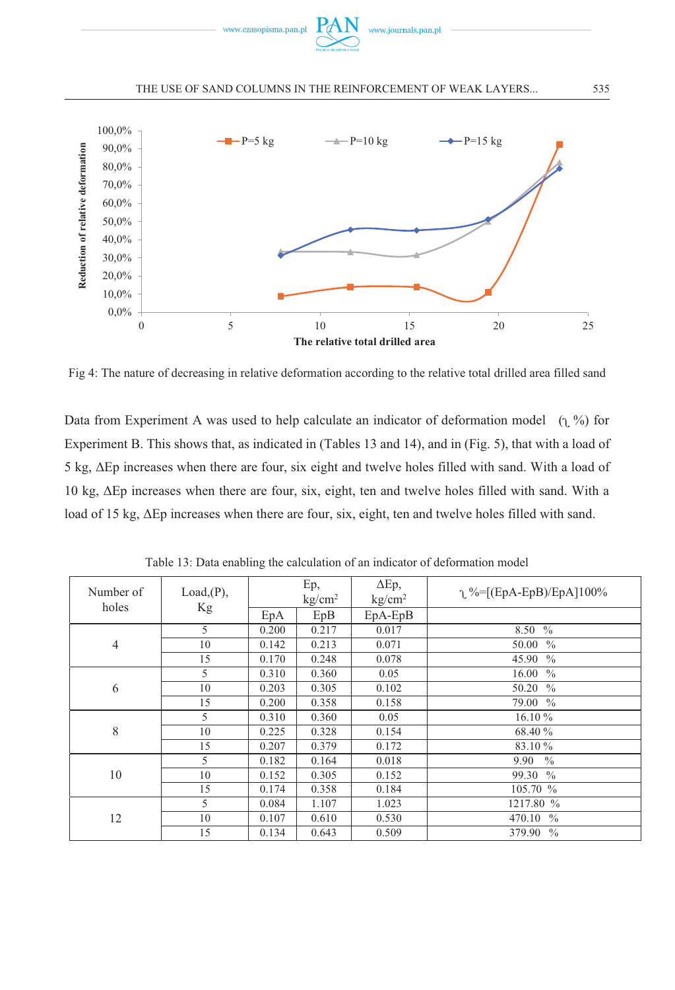

#### THE USE OF SAND COLUMNS IN THE REINFORCEMENT OF WEAK LAYERS... 5



Fig 4: The nature of decreasing in relative deformation according to the relative total drilled area filled sand

Data from Experiment A was used to help calculate an indicator of deformation model  $(1, %)$  for Experiment B. This shows that, as indicated in (Tables 13 and 14), and in (Fig. 5), that with a load of 5 kg, ΔEp increases when there are four, six eight and twelve holes filled with sand. With a load of 10 kg, ΔEp increases when there are four, six, eight, ten and twelve holes filled with sand. With a load of 15 kg, ΔEp increases when there are four, six, eight, ten and twelve holes filled with sand.

| Number of<br>holes | Load(P),<br>Kg | Ep,<br>kg/cm <sup>2</sup> |       | $\Delta$ Ep,<br>kg/cm <sup>2</sup> | $\gamma$ %=[(EpA-EpB)/EpA]100% |
|--------------------|----------------|---------------------------|-------|------------------------------------|--------------------------------|
|                    |                | EpA                       | EpB   | $EpA-EpB$                          |                                |
| $\overline{4}$     | $\mathcal{F}$  | 0.200                     | 0.217 | 0.017                              | 8.50 %                         |
|                    | 10             | 0.142                     | 0.213 | 0.071                              | 50.00 %                        |
|                    | 15             | 0.170                     | 0.248 | 0.078                              | 45.90 %                        |
|                    | 5              | 0.310                     | 0.360 | 0.05                               | 16.00 %                        |
| 6                  | 10             | 0.203                     | 0.305 | 0.102                              | 50.20 %                        |
|                    | 15             | 0.200                     | 0.358 | 0.158                              | 79.00 %                        |
|                    | 5              | 0.310                     | 0.360 | 0.05                               | $16.10\%$                      |
| 8                  | 10             | 0.225                     | 0.328 | 0.154                              | 68.40 %                        |
|                    | 15             | 0.207                     | 0.379 | 0.172                              | 83.10 %                        |
| 10                 | 5              | 0.182                     | 0.164 | 0.018                              | 9.90<br>$\frac{0}{0}$          |
|                    | 10             | 0.152                     | 0.305 | 0.152                              | 99.30 %                        |
|                    | 15             | 0.174                     | 0.358 | 0.184                              | 105.70%                        |
| 12                 | 5              | 0.084                     | 1.107 | 1.023                              | 1217.80 %                      |
|                    | 10             | 0.107                     | 0.610 | 0.530                              | 470.10<br>$\frac{0}{0}$        |
|                    | 15             | 0.134                     | 0.643 | 0.509                              | 379.90<br>$\frac{0}{0}$        |

Table 13: Data enabling the calculation of an indicator of deformation model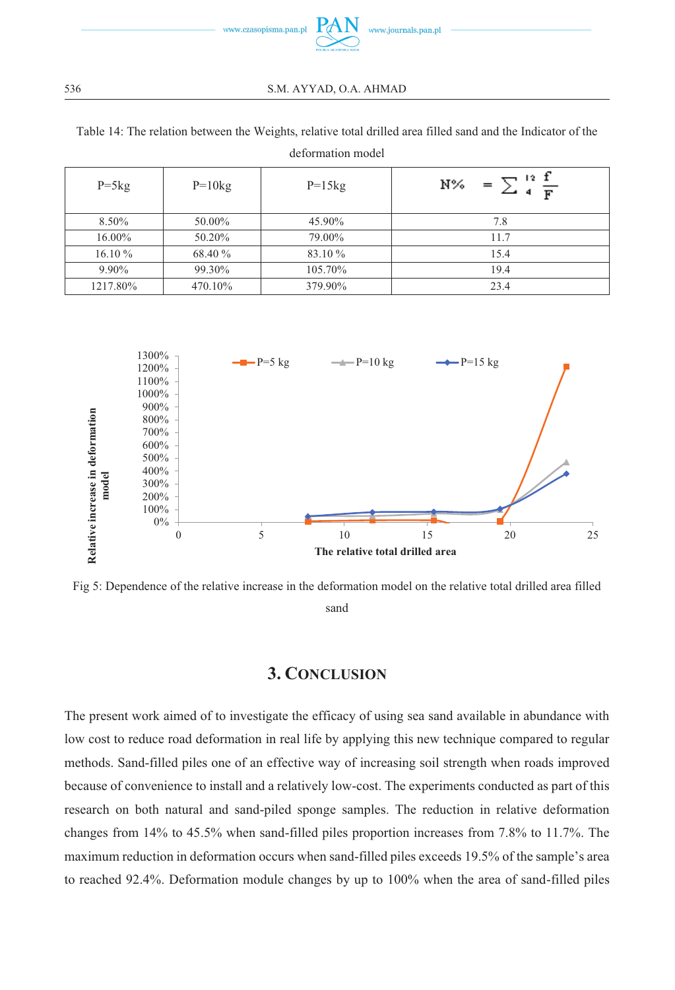

36 S.M. AYYAD, O.A. AHMAD

Table 14: The relation between the Weights, relative total drilled area filled sand and the Indicator of the deformation model

=  $\sum_{4}^{12} \frac{f}{F}$ N%  $P=5kg$   $P=10kg$   $P=15kg$  $8.50\%$   $50.00\%$   $45.90\%$   $7.8$ 16.00% 50.20% 79.00% 11.7  $16.10\%$  68.40 % 83.10 % 15.4 9.90%  $99.30\%$  105.70% 105.70 19.4 1217.80% 470.10% 379.90% 23.4



Fig 5: Dependence of the relative increase in the deformation model on the relative total drilled area filled sand

#### **3. CONCLUSION**

The present work aimed of to investigate the efficacy of using sea sand available in abundance with low cost to reduce road deformation in real life by applying this new technique compared to regular methods. Sand-filled piles one of an effective way of increasing soil strength when roads improved because of convenience to install and a relatively low-cost. The experiments conducted as part of this research on both natural and sand-piled sponge samples. The reduction in relative deformation changes from 14% to 45.5% when sand-filled piles proportion increases from 7.8% to 11.7%. The maximum reduction in deformation occurs when sand-filled piles exceeds 19.5% of the sample's area to reached 92.4%. Deformation module changes by up to 100% when the area of sand-filled piles

536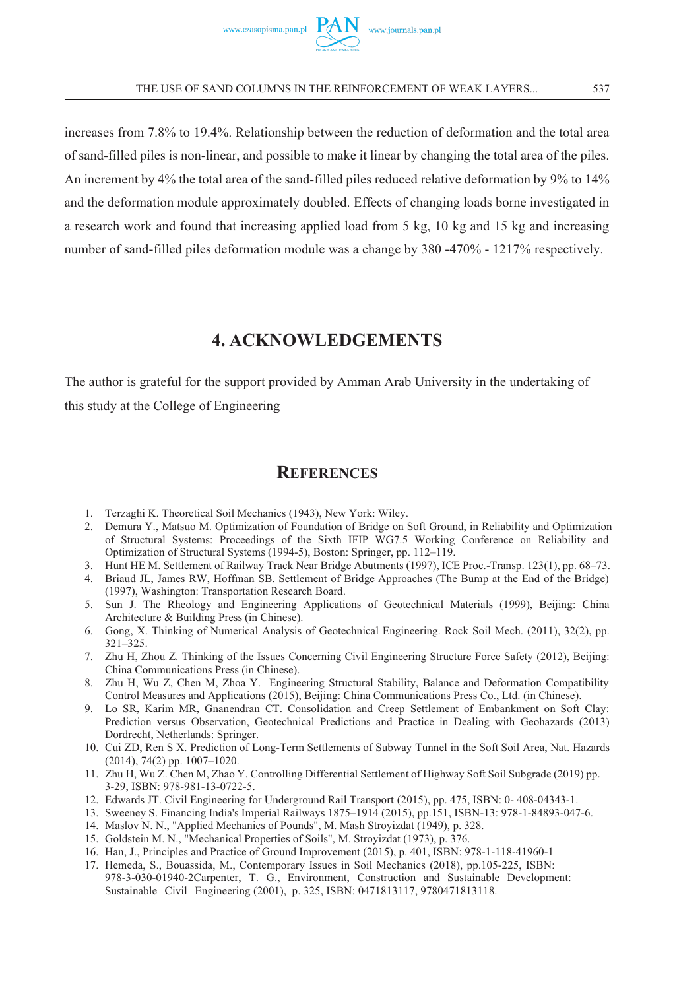

increases from 7.8% to 19.4%. Relationship between the reduction of deformation and the total area of sand-filled piles is non-linear, and possible to make it linear by changing the total area of the piles. An increment by 4% the total area of the sand-filled piles reduced relative deformation by 9% to 14% and the deformation module approximately doubled. Effects of changing loads borne investigated in a research work and found that increasing applied load from 5 kg, 10 kg and 15 kg and increasing number of sand-filled piles deformation module was a change by 380 -470% - 1217% respectively.

### **4. ACKNOWLEDGEMENTS**

The author is grateful for the support provided by Amman Arab University in the undertaking of this study at the College of Engineering

#### **REFERENCES**

- 1. Terzaghi K. Theoretical Soil Mechanics (1943), New York: Wiley.
- 2. Demura Y., Matsuo M. Optimization of Foundation of Bridge on Soft Ground, in Reliability and Optimization of Structural Systems: Proceedings of the Sixth IFIP WG7.5 Working Conference on Reliability and Optimization of Structural Systems (1994-5), Boston: Springer, pp. 112–119.
- 3. Hunt HE M. Settlement of Railway Track Near Bridge Abutments (1997), ICE Proc.-Transp. 123(1), pp. 68–73.
- 4. Briaud JL, James RW, Hoffman SB. Settlement of Bridge Approaches (The Bump at the End of the Bridge) (1997), Washington: Transportation Research Board.
- 5. Sun J. The Rheology and Engineering Applications of Geotechnical Materials (1999), Beijing: China Architecture & Building Press (in Chinese).
- 6. Gong, X. Thinking of Numerical Analysis of Geotechnical Engineering. Rock Soil Mech. (2011), 32(2), pp. 321–325.
- 7. Zhu H, Zhou Z. Thinking of the Issues Concerning Civil Engineering Structure Force Safety (2012), Beijing: China Communications Press (in Chinese).
- 8. Zhu H, Wu Z, Chen M, Zhoa Y. Engineering Structural Stability, Balance and Deformation Compatibility Control Measures and Applications (2015), Beijing: China Communications Press Co., Ltd. (in Chinese).
- 9. Lo SR, Karim MR, Gnanendran CT. Consolidation and Creep Settlement of Embankment on Soft Clay: Prediction versus Observation, Geotechnical Predictions and Practice in Dealing with Geohazards (2013) Dordrecht, Netherlands: Springer.
- 10. Cui ZD, Ren S X. Prediction of Long-Term Settlements of Subway Tunnel in the Soft Soil Area, Nat. Hazards (2014), 74(2) pp. 1007–1020.
- 11. Zhu H, Wu Z. Chen M, Zhao Y. Controlling Differential Settlement of Highway Soft Soil Subgrade (2019) pp. 3-29, ISBN: 978-981-13-0722-5.
- 12. Edwards JT. Civil Engineering for Underground Rail Transport (2015), pp. 475, ISBN: 0- 408-04343-1.
- 13. Sweeney S. Financing India's Imperial Railways 1875–1914 (2015), pp.151, ISBN-13: 978-1-84893-047-6.
- 14. Maslov N. N., "Applied Mechanics of Pounds", M. Mash Stroyizdat (1949), p. 328.
- 15. Goldstein M. N., "Mechanical Properties of Soils", M. Stroyizdat (1973), p. 376.
- 16. Han, J., Principles and Practice of Ground Improvement (2015), p. 401, ISBN: 978-1-118-41960-1
- 17. Hemeda, S., Bouassida, M., Contemporary Issues in Soil Mechanics (2018), pp.105-225, ISBN: 978-3-030-01940-2Carpenter, T. G., Environment, Construction and Sustainable Development: Sustainable Civil Engineering (2001), p. 325, ISBN: 0471813117, 9780471813118.